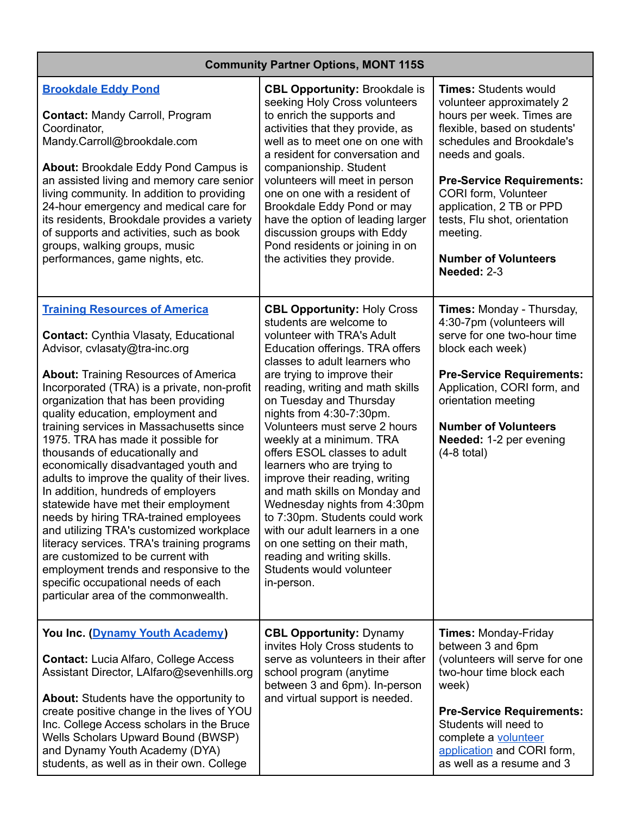| <b>Community Partner Options, MONT 115S</b>                                                                                                                                                                                                                                                                                                                                                                                                                                                                                                                                                                                                                                                                                                                                                                                                                                                  |                                                                                                                                                                                                                                                                                                                                                                                                                                                                                                                                                                                                                                                                                                         |                                                                                                                                                                                                                                                                                                                                                           |  |
|----------------------------------------------------------------------------------------------------------------------------------------------------------------------------------------------------------------------------------------------------------------------------------------------------------------------------------------------------------------------------------------------------------------------------------------------------------------------------------------------------------------------------------------------------------------------------------------------------------------------------------------------------------------------------------------------------------------------------------------------------------------------------------------------------------------------------------------------------------------------------------------------|---------------------------------------------------------------------------------------------------------------------------------------------------------------------------------------------------------------------------------------------------------------------------------------------------------------------------------------------------------------------------------------------------------------------------------------------------------------------------------------------------------------------------------------------------------------------------------------------------------------------------------------------------------------------------------------------------------|-----------------------------------------------------------------------------------------------------------------------------------------------------------------------------------------------------------------------------------------------------------------------------------------------------------------------------------------------------------|--|
| <b>Brookdale Eddy Pond</b><br>Contact: Mandy Carroll, Program<br>Coordinator,<br>Mandy.Carroll@brookdale.com<br>About: Brookdale Eddy Pond Campus is<br>an assisted living and memory care senior<br>living community. In addition to providing<br>24-hour emergency and medical care for<br>its residents, Brookdale provides a variety<br>of supports and activities, such as book<br>groups, walking groups, music<br>performances, game nights, etc.                                                                                                                                                                                                                                                                                                                                                                                                                                     | <b>CBL Opportunity: Brookdale is</b><br>seeking Holy Cross volunteers<br>to enrich the supports and<br>activities that they provide, as<br>well as to meet one on one with<br>a resident for conversation and<br>companionship. Student<br>volunteers will meet in person<br>one on one with a resident of<br>Brookdale Eddy Pond or may<br>have the option of leading larger<br>discussion groups with Eddy<br>Pond residents or joining in on<br>the activities they provide.                                                                                                                                                                                                                         | <b>Times: Students would</b><br>volunteer approximately 2<br>hours per week. Times are<br>flexible, based on students'<br>schedules and Brookdale's<br>needs and goals.<br><b>Pre-Service Requirements:</b><br>CORI form, Volunteer<br>application, 2 TB or PPD<br>tests, Flu shot, orientation<br>meeting.<br><b>Number of Volunteers</b><br>Needed: 2-3 |  |
| <b>Training Resources of America</b><br><b>Contact: Cynthia Vlasaty, Educational</b><br>Advisor, cvlasaty@tra-inc.org<br><b>About:</b> Training Resources of America<br>Incorporated (TRA) is a private, non-profit<br>organization that has been providing<br>quality education, employment and<br>training services in Massachusetts since<br>1975. TRA has made it possible for<br>thousands of educationally and<br>economically disadvantaged youth and<br>adults to improve the quality of their lives.<br>In addition, hundreds of employers<br>statewide have met their employment<br>needs by hiring TRA-trained employees<br>and utilizing TRA's customized workplace<br>literacy services. TRA's training programs<br>are customized to be current with<br>employment trends and responsive to the<br>specific occupational needs of each<br>particular area of the commonwealth. | <b>CBL Opportunity: Holy Cross</b><br>students are welcome to<br>volunteer with TRA's Adult<br>Education offerings. TRA offers<br>classes to adult learners who<br>are trying to improve their<br>reading, writing and math skills<br>on Tuesday and Thursday<br>nights from 4:30-7:30pm.<br>Volunteers must serve 2 hours<br>weekly at a minimum. TRA<br>offers ESOL classes to adult<br>learners who are trying to<br>improve their reading, writing<br>and math skills on Monday and<br>Wednesday nights from 4:30pm<br>to 7:30pm. Students could work<br>with our adult learners in a one<br>on one setting on their math.<br>reading and writing skills.<br>Students would volunteer<br>in-person. | Times: Monday - Thursday,<br>4:30-7pm (volunteers will<br>serve for one two-hour time<br>block each week)<br><b>Pre-Service Requirements:</b><br>Application, CORI form, and<br>orientation meeting<br><b>Number of Volunteers</b><br>Needed: 1-2 per evening<br>$(4-8$ total)                                                                            |  |
| You Inc. (Dynamy Youth Academy)<br><b>Contact: Lucia Alfaro, College Access</b><br>Assistant Director, LAIfaro@sevenhills.org<br><b>About:</b> Students have the opportunity to<br>create positive change in the lives of YOU<br>Inc. College Access scholars in the Bruce<br>Wells Scholars Upward Bound (BWSP)<br>and Dynamy Youth Academy (DYA)<br>students, as well as in their own. College                                                                                                                                                                                                                                                                                                                                                                                                                                                                                             | <b>CBL Opportunity: Dynamy</b><br>invites Holy Cross students to<br>serve as volunteers in their after<br>school program (anytime<br>between 3 and 6pm). In-person<br>and virtual support is needed.                                                                                                                                                                                                                                                                                                                                                                                                                                                                                                    | <b>Times: Monday-Friday</b><br>between 3 and 6pm<br>(volunteers will serve for one<br>two-hour time block each<br>week)<br><b>Pre-Service Requirements:</b><br>Students will need to<br>complete a volunteer<br>application and CORI form,<br>as well as a resume and 3                                                                                   |  |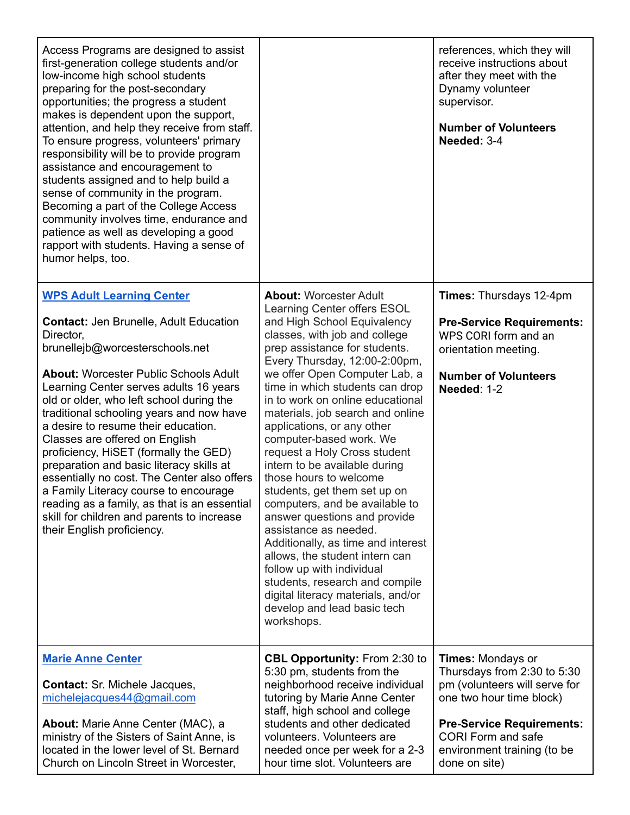| Access Programs are designed to assist<br>first-generation college students and/or<br>low-income high school students<br>preparing for the post-secondary<br>opportunities; the progress a student<br>makes is dependent upon the support,<br>attention, and help they receive from staff.<br>To ensure progress, volunteers' primary<br>responsibility will be to provide program<br>assistance and encouragement to<br>students assigned and to help build a<br>sense of community in the program.<br>Becoming a part of the College Access<br>community involves time, endurance and<br>patience as well as developing a good<br>rapport with students. Having a sense of<br>humor helps, too.     |                                                                                                                                                                                                                                                                                                                                                                                                                                                                                                                                                                                                                                                                                                                                                                                                                                                     | references, which they will<br>receive instructions about<br>after they meet with the<br>Dynamy volunteer<br>supervisor.<br><b>Number of Volunteers</b><br>Needed: 3-4                                                         |
|-------------------------------------------------------------------------------------------------------------------------------------------------------------------------------------------------------------------------------------------------------------------------------------------------------------------------------------------------------------------------------------------------------------------------------------------------------------------------------------------------------------------------------------------------------------------------------------------------------------------------------------------------------------------------------------------------------|-----------------------------------------------------------------------------------------------------------------------------------------------------------------------------------------------------------------------------------------------------------------------------------------------------------------------------------------------------------------------------------------------------------------------------------------------------------------------------------------------------------------------------------------------------------------------------------------------------------------------------------------------------------------------------------------------------------------------------------------------------------------------------------------------------------------------------------------------------|--------------------------------------------------------------------------------------------------------------------------------------------------------------------------------------------------------------------------------|
| <b>WPS Adult Learning Center</b><br><b>Contact: Jen Brunelle, Adult Education</b><br>Director,<br>brunellejb@worcesterschools.net<br><b>About: Worcester Public Schools Adult</b><br>Learning Center serves adults 16 years<br>old or older, who left school during the<br>traditional schooling years and now have<br>a desire to resume their education.<br>Classes are offered on English<br>proficiency, HiSET (formally the GED)<br>preparation and basic literacy skills at<br>essentially no cost. The Center also offers<br>a Family Literacy course to encourage<br>reading as a family, as that is an essential<br>skill for children and parents to increase<br>their English proficiency. | <b>About: Worcester Adult</b><br>Learning Center offers ESOL<br>and High School Equivalency<br>classes, with job and college<br>prep assistance for students.<br>Every Thursday, 12:00-2:00pm,<br>we offer Open Computer Lab, a<br>time in which students can drop<br>in to work on online educational<br>materials, job search and online<br>applications, or any other<br>computer-based work. We<br>request a Holy Cross student<br>intern to be available during<br>those hours to welcome<br>students, get them set up on<br>computers, and be available to<br>answer questions and provide<br>assistance as needed.<br>Additionally, as time and interest<br>allows, the student intern can<br>follow up with individual<br>students, research and compile<br>digital literacy materials, and/or<br>develop and lead basic tech<br>workshops. | Times: Thursdays 12-4pm<br><b>Pre-Service Requirements:</b><br>WPS CORI form and an<br>orientation meeting.<br><b>Number of Volunteers</b><br>Needed: 1-2                                                                      |
| <b>Marie Anne Center</b><br>Contact: Sr. Michele Jacques,<br>michelejacques44@gmail.com<br>About: Marie Anne Center (MAC), a<br>ministry of the Sisters of Saint Anne, is<br>located in the lower level of St. Bernard<br>Church on Lincoln Street in Worcester,                                                                                                                                                                                                                                                                                                                                                                                                                                      | <b>CBL Opportunity: From 2:30 to</b><br>5:30 pm, students from the<br>neighborhood receive individual<br>tutoring by Marie Anne Center<br>staff, high school and college<br>students and other dedicated<br>volunteers. Volunteers are<br>needed once per week for a 2-3<br>hour time slot. Volunteers are                                                                                                                                                                                                                                                                                                                                                                                                                                                                                                                                          | Times: Mondays or<br>Thursdays from 2:30 to 5:30<br>pm (volunteers will serve for<br>one two hour time block)<br><b>Pre-Service Requirements:</b><br><b>CORI Form and safe</b><br>environment training (to be<br>done on site) |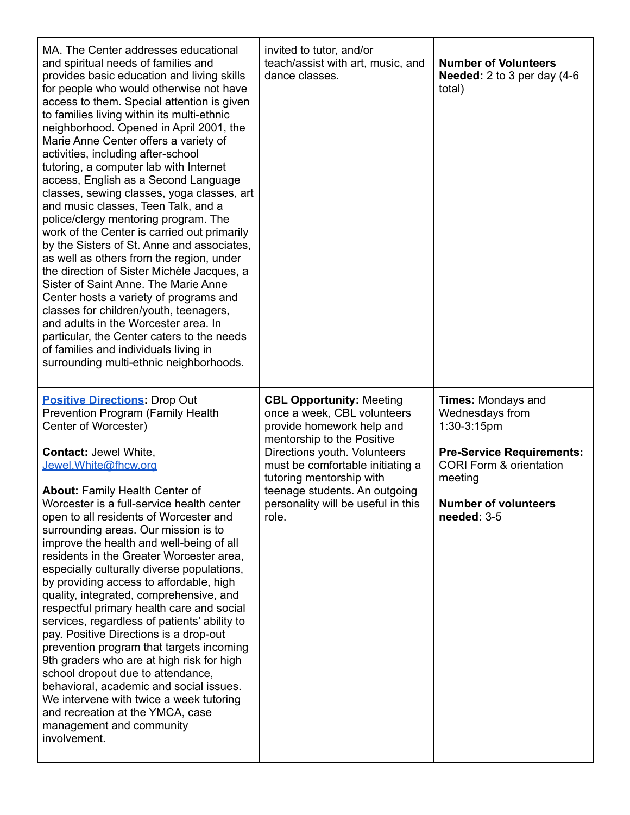| MA. The Center addresses educational<br>and spiritual needs of families and<br>provides basic education and living skills<br>for people who would otherwise not have<br>access to them. Special attention is given<br>to families living within its multi-ethnic<br>neighborhood. Opened in April 2001, the<br>Marie Anne Center offers a variety of<br>activities, including after-school<br>tutoring, a computer lab with Internet<br>access, English as a Second Language<br>classes, sewing classes, yoga classes, art<br>and music classes, Teen Talk, and a<br>police/clergy mentoring program. The<br>work of the Center is carried out primarily<br>by the Sisters of St. Anne and associates,<br>as well as others from the region, under<br>the direction of Sister Michèle Jacques, a<br>Sister of Saint Anne. The Marie Anne<br>Center hosts a variety of programs and<br>classes for children/youth, teenagers,<br>and adults in the Worcester area. In<br>particular, the Center caters to the needs<br>of families and individuals living in<br>surrounding multi-ethnic neighborhoods. | invited to tutor, and/or<br>teach/assist with art, music, and<br>dance classes.                                                                                                                                                                                                                           | <b>Number of Volunteers</b><br><b>Needed:</b> $2$ to $3$ per day $(4-6)$<br>total)                                                                                                        |
|--------------------------------------------------------------------------------------------------------------------------------------------------------------------------------------------------------------------------------------------------------------------------------------------------------------------------------------------------------------------------------------------------------------------------------------------------------------------------------------------------------------------------------------------------------------------------------------------------------------------------------------------------------------------------------------------------------------------------------------------------------------------------------------------------------------------------------------------------------------------------------------------------------------------------------------------------------------------------------------------------------------------------------------------------------------------------------------------------------|-----------------------------------------------------------------------------------------------------------------------------------------------------------------------------------------------------------------------------------------------------------------------------------------------------------|-------------------------------------------------------------------------------------------------------------------------------------------------------------------------------------------|
| <b>Positive Directions: Drop Out</b><br><b>Prevention Program (Family Health</b><br>Center of Worcester)<br>Contact: Jewel White,<br>Jewel. White@fhcw.org<br><b>About: Family Health Center of</b><br>Worcester is a full-service health center<br>open to all residents of Worcester and<br>surrounding areas. Our mission is to<br>improve the health and well-being of all<br>residents in the Greater Worcester area,<br>especially culturally diverse populations,<br>by providing access to affordable, high<br>quality, integrated, comprehensive, and<br>respectful primary health care and social<br>services, regardless of patients' ability to<br>pay. Positive Directions is a drop-out<br>prevention program that targets incoming<br>9th graders who are at high risk for high<br>school dropout due to attendance,<br>behavioral, academic and social issues.<br>We intervene with twice a week tutoring<br>and recreation at the YMCA, case<br>management and community<br>involvement.                                                                                              | <b>CBL Opportunity: Meeting</b><br>once a week, CBL volunteers<br>provide homework help and<br>mentorship to the Positive<br>Directions youth. Volunteers<br>must be comfortable initiating a<br>tutoring mentorship with<br>teenage students. An outgoing<br>personality will be useful in this<br>role. | Times: Mondays and<br>Wednesdays from<br>1:30-3:15pm<br><b>Pre-Service Requirements:</b><br><b>CORI Form &amp; orientation</b><br>meeting<br><b>Number of volunteers</b><br>needed: $3-5$ |